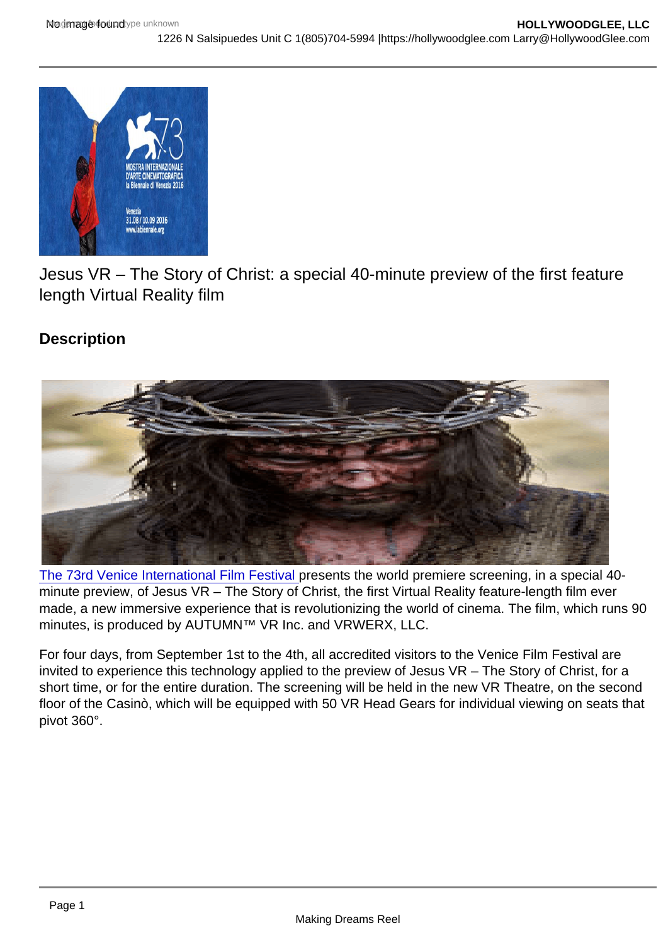Jesus VR – The Story of Christ: a special 40-minute preview of the first feature length Virtual Reality film

**Description** 

[The 73rd Venice International Film Festival](https://hollywoodglee.com/2016/08/11/screening-schedule-of-the-73rd-venice-international-film-festival/) presents the world premiere screening, in a special 40 minute preview, of Jesus VR – The Story of Christ, the first Virtual Reality feature-length film ever made, a new immersive experience that is revolutionizing the world of cinema. The film, which runs 90 minutes, is produced by AUTUMN™ VR Inc. and VRWERX, LLC.

For four days, from September 1st to the 4th, all accredited visitors to the Venice Film Festival are invited to experience this technology applied to the preview of Jesus VR – The Story of Christ, for a short time, or for the entire duration. The screening will be held in the new VR Theatre, on the second floor of the Casinò, which will be equipped with 50 VR Head Gears for individual viewing on seats that pivot 360°.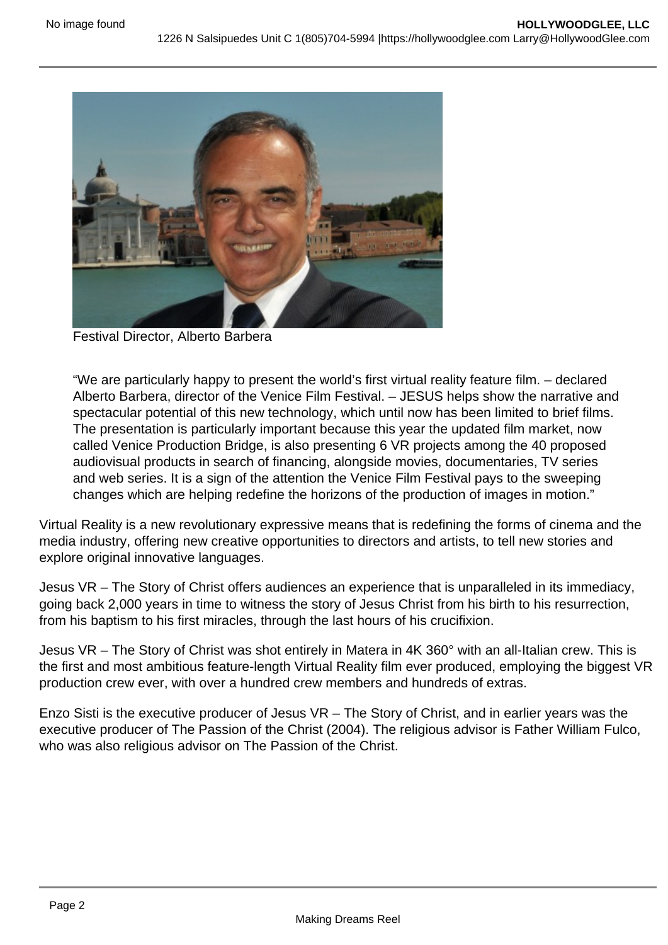

Festival Director, Alberto Barbera

"We are particularly happy to present the world's first virtual reality feature film. – declared Alberto Barbera, director of the Venice Film Festival. – JESUS helps show the narrative and spectacular potential of this new technology, which until now has been limited to brief films. The presentation is particularly important because this year the updated film market, now called Venice Production Bridge, is also presenting 6 VR projects among the 40 proposed audiovisual products in search of financing, alongside movies, documentaries, TV series and web series. It is a sign of the attention the Venice Film Festival pays to the sweeping changes which are helping redefine the horizons of the production of images in motion."

Virtual Reality is a new revolutionary expressive means that is redefining the forms of cinema and the media industry, offering new creative opportunities to directors and artists, to tell new stories and explore original innovative languages.

Jesus VR – The Story of Christ offers audiences an experience that is unparalleled in its immediacy, going back 2,000 years in time to witness the story of Jesus Christ from his birth to his resurrection, from his baptism to his first miracles, through the last hours of his crucifixion.

Jesus VR – The Story of Christ was shot entirely in Matera in 4K 360° with an all-Italian crew. This is the first and most ambitious feature-length Virtual Reality film ever produced, employing the biggest VR production crew ever, with over a hundred crew members and hundreds of extras.

Enzo Sisti is the executive producer of Jesus VR – The Story of Christ, and in earlier years was the executive producer of The Passion of the Christ (2004). The religious advisor is Father William Fulco, who was also religious advisor on The Passion of the Christ.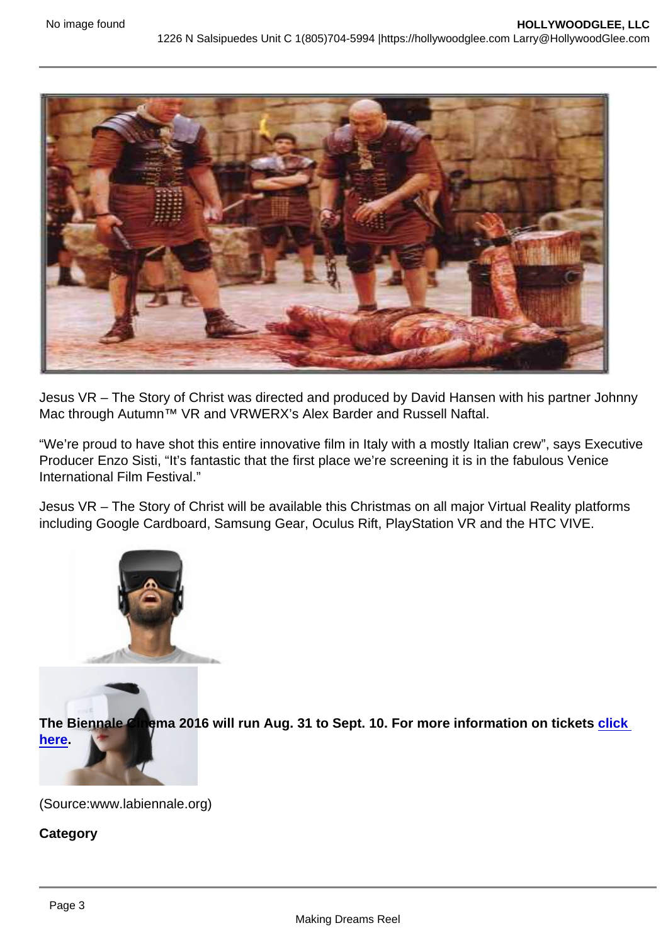Jesus VR – The Story of Christ was directed and produced by David Hansen with his partner Johnny Mac through Autumn™ VR and VRWERX's Alex Barder and Russell Naftal.

"We're proud to have shot this entire innovative film in Italy with a mostly Italian crew", says Executive Producer Enzo Sisti, "It's fantastic that the first place we're screening it is in the fabulous Venice International Film Festival."

Jesus VR – The Story of Christ will be available this Christmas on all major Virtual Reality platforms including Google Cardboard, Samsung Gear, Oculus Rift, PlayStation VR and the HTC VIVE.

[The Biennale Cinema 2016](https://hollywoodglee.com/2016/08/21/jesus-vr-the-story-of-christ-a-special-40-minute-preview-of-the-first-feature-length-virtual-reality-film/2469403_image1/) will run Aug. 31 to Sept. 10. For more information on tickets click [here](http://www.labiennale.org/en/cinema/tickets/).

(Source:www.labiennale.org)

**Category**